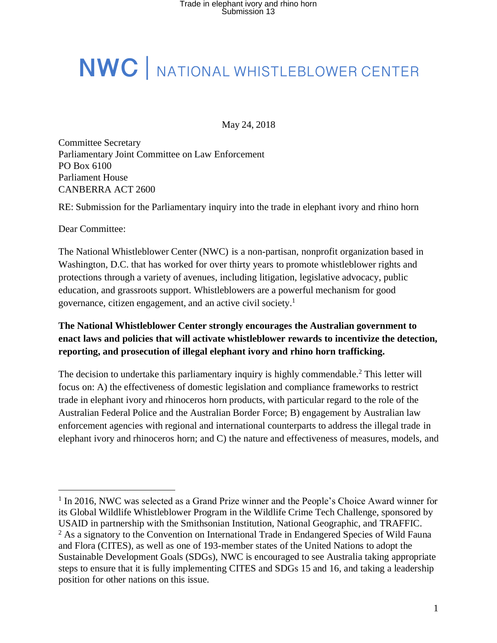# **NWC** | NATIONAL WHISTLEBLOWER CENTER

May 24, 2018

Committee Secretary Parliamentary Joint Committee on Law Enforcement PO Box 6100 Parliament House CANBERRA ACT 2600

RE: Submission for the Parliamentary inquiry into the trade in elephant ivory and rhino horn

Dear Committee:

The National Whistleblower Center (NWC) is a non-partisan, nonprofit organization based in Washington, D.C. that has worked for over thirty years to promote whistleblower rights and protections through a variety of avenues, including litigation, legislative advocacy, public education, and grassroots support. Whistleblowers are a powerful mechanism for good governance, citizen engagement, and an active civil society.<sup>1</sup>

### **The National Whistleblower Center strongly encourages the Australian government to enact laws and policies that will activate whistleblower rewards to incentivize the detection, reporting, and prosecution of illegal elephant ivory and rhino horn trafficking.**

The decision to undertake this parliamentary inquiry is highly commendable.<sup>2</sup> This letter will focus on: A) the effectiveness of domestic legislation and compliance frameworks to restrict trade in elephant ivory and rhinoceros horn products, with particular regard to the role of the Australian Federal Police and the Australian Border Force; B) engagement by Australian law enforcement agencies with regional and international counterparts to address the illegal trade in elephant ivory and rhinoceros horn; and C) the nature and effectiveness of measures, models, and

<sup>&</sup>lt;sup>1</sup> In 2016, NWC was selected as a Grand Prize winner and the People's Choice Award winner for its Global Wildlife Whistleblower Program in the Wildlife Crime Tech Challenge, sponsored by USAID in partnership with the Smithsonian Institution, National Geographic, and TRAFFIC.  $<sup>2</sup>$  As a signatory to the Convention on International Trade in Endangered Species of Wild Fauna</sup> and Flora (CITES), as well as one of 193-member states of the United Nations to adopt the Sustainable Development Goals (SDGs), NWC is encouraged to see Australia taking appropriate steps to ensure that it is fully implementing CITES and SDGs 15 and 16, and taking a leadership position for other nations on this issue.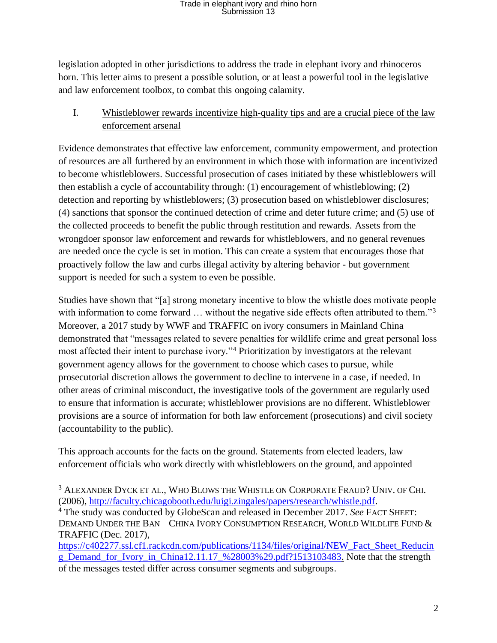legislation adopted in other jurisdictions to address the trade in elephant ivory and rhinoceros horn. This letter aims to present a possible solution, or at least a powerful tool in the legislative and law enforcement toolbox, to combat this ongoing calamity.

I. Whistleblower rewards incentivize high-quality tips and are a crucial piece of the law enforcement arsenal

Evidence demonstrates that effective law enforcement, community empowerment, and protection of resources are all furthered by an environment in which those with information are incentivized to become whistleblowers. Successful prosecution of cases initiated by these whistleblowers will then establish a cycle of accountability through: (1) encouragement of whistleblowing; (2) detection and reporting by whistleblowers; (3) prosecution based on whistleblower disclosures; (4) sanctions that sponsor the continued detection of crime and deter future crime; and (5) use of the collected proceeds to benefit the public through restitution and rewards. Assets from the wrongdoer sponsor law enforcement and rewards for whistleblowers, and no general revenues are needed once the cycle is set in motion. This can create a system that encourages those that proactively follow the law and curbs illegal activity by altering behavior - but government support is needed for such a system to even be possible.

Studies have shown that "[a] strong monetary incentive to blow the whistle does motivate people with information to come forward ... without the negative side effects often attributed to them."<sup>3</sup> Moreover, a 2017 study by WWF and TRAFFIC on ivory consumers in Mainland China demonstrated that "messages related to severe penalties for wildlife crime and great personal loss most affected their intent to purchase ivory."<sup>4</sup> Prioritization by investigators at the relevant government agency allows for the government to choose which cases to pursue, while prosecutorial discretion allows the government to decline to intervene in a case, if needed. In other areas of criminal misconduct, the investigative tools of the government are regularly used to ensure that information is accurate; whistleblower provisions are no different. Whistleblower provisions are a source of information for both law enforcement (prosecutions) and civil society (accountability to the public).

This approach accounts for the facts on the ground. Statements from elected leaders, law enforcement officials who work directly with whistleblowers on the ground, and appointed

<sup>3</sup> ALEXANDER DYCK ET AL., WHO BLOWS THE WHISTLE ON CORPORATE FRAUD? UNIV. OF CHI. (2006), [http://faculty.chicagobooth.edu/luigi.zingales/papers/research/whistle.pdf.](http://faculty.chicagobooth.edu/luigi.zingales/papers/research/whistle.pdf)

<sup>4</sup> The study was conducted by GlobeScan and released in December 2017. *See* FACT SHEET: DEMAND UNDER THE BAN – CHINA IVORY CONSUMPTION RESEARCH, WORLD WILDLIFE FUND & TRAFFIC (Dec. 2017),

[https://c402277.ssl.cf1.rackcdn.com/publications/1134/files/original/NEW\\_Fact\\_Sheet\\_Reducin](https://c402277.ssl.cf1.rackcdn.com/publications/1134/files/original/NEW_Fact_Sheet_Reducing_Demand_for_Ivory_in_China12.11.17_%28003%29.pdf?1513103483) [g\\_Demand\\_for\\_Ivory\\_in\\_China12.11.17\\_%28003%29.pdf?1513103483.](https://c402277.ssl.cf1.rackcdn.com/publications/1134/files/original/NEW_Fact_Sheet_Reducing_Demand_for_Ivory_in_China12.11.17_%28003%29.pdf?1513103483) Note that the strength of the messages tested differ across consumer segments and subgroups.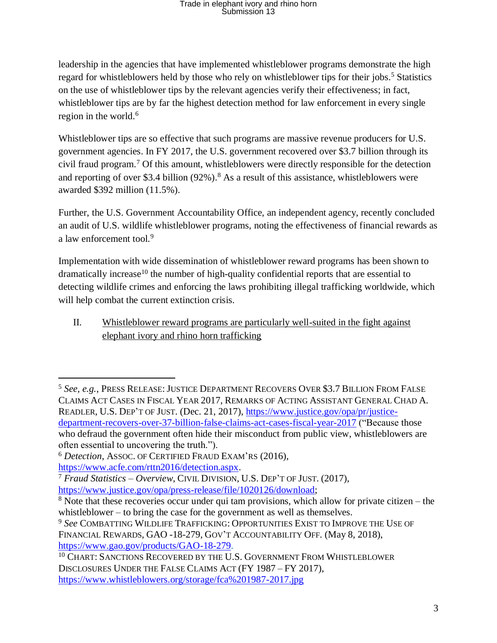leadership in the agencies that have implemented whistleblower programs demonstrate the high regard for whistleblowers held by those who rely on whistleblower tips for their jobs.<sup>5</sup> Statistics on the use of whistleblower tips by the relevant agencies verify their effectiveness; in fact, whistleblower tips are by far the highest detection method for law enforcement in every single region in the world.<sup>6</sup>

Whistleblower tips are so effective that such programs are massive revenue producers for U.S. government agencies. In FY 2017, the U.S. government recovered over \$3.7 billion through its civil fraud program.<sup>7</sup> Of this amount, whistleblowers were directly responsible for the detection and reporting of over \$3.4 billion (92%).<sup>8</sup> As a result of this assistance, whistleblowers were awarded \$392 million (11.5%).

Further, the U.S. Government Accountability Office, an independent agency, recently concluded an audit of U.S. wildlife whistleblower programs, noting the effectiveness of financial rewards as a law enforcement tool.<sup>9</sup>

Implementation with wide dissemination of whistleblower reward programs has been shown to  $d$ ramatically increase<sup>10</sup> the number of high-quality confidential reports that are essential to detecting wildlife crimes and enforcing the laws prohibiting illegal trafficking worldwide, which will help combat the current extinction crisis.

II. Whistleblower reward programs are particularly well-suited in the fight against elephant ivory and rhino horn trafficking

<sup>5</sup> *See, e.g.*, PRESS RELEASE:JUSTICE DEPARTMENT RECOVERS OVER \$3.7 BILLION FROM FALSE CLAIMS ACT CASES IN FISCAL YEAR 2017, REMARKS OF ACTING ASSISTANT GENERAL CHAD A. READLER, U.S. DEP'T OF JUST. (Dec. 21, 2017), [https://www.justice.gov/opa/pr/justice](https://www.justice.gov/opa/pr/justice-department-recovers-over-37-billion-false-claims-act-cases-fiscal-year-2017)[department-recovers-over-37-billion-false-claims-act-cases-fiscal-year-2017](https://www.justice.gov/opa/pr/justice-department-recovers-over-37-billion-false-claims-act-cases-fiscal-year-2017) ("Because those who defraud the government often hide their misconduct from public view, whistleblowers are often essential to uncovering the truth.").

<sup>6</sup> *Detection*, ASSOC. OF CERTIFIED FRAUD EXAM'RS (2016), [https://www.acfe.com/rttn2016/detection.aspx.](https://www.acfe.com/rttn2016/detection.aspx)

<sup>7</sup> *Fraud Statistics – Overview*, CIVIL DIVISION, U.S. DEP'T OF JUST. (2017), [https://www.justice.gov/opa/press-release/file/1020126/download;](https://www.justice.gov/opa/press-release/file/1020126/download)

<sup>8</sup> Note that these recoveries occur under qui tam provisions, which allow for private citizen – the whistleblower – to bring the case for the government as well as themselves.

<sup>9</sup> *See* COMBATTING WILDLIFE TRAFFICKING: OPPORTUNITIES EXIST TO IMPROVE THE USE OF FINANCIAL REWARDS, GAO -18-279, GOV'T ACCOUNTABILITY OFF. (May 8, 2018), [https://www.gao.gov/products/GAO-18-279.](https://www.gao.gov/products/GAO-18-279)

<sup>&</sup>lt;sup>10</sup> CHART: SANCTIONS RECOVERED BY THE U.S. GOVERNMENT FROM WHISTLEBLOWER DISCLOSURES UNDER THE FALSE CLAIMS ACT (FY 1987 – FY 2017), <https://www.whistleblowers.org/storage/fca%201987-2017.jpg>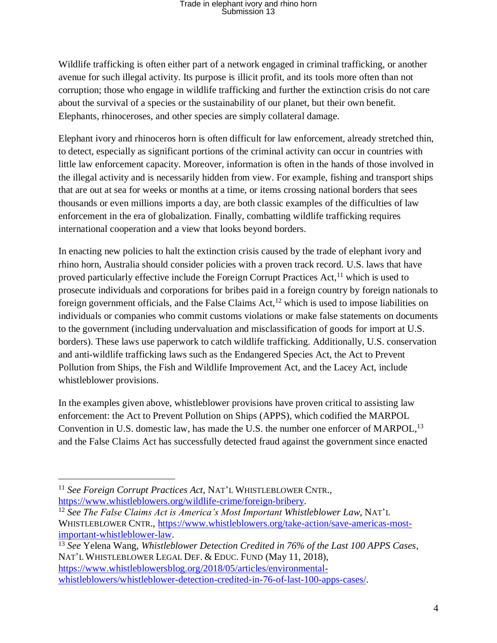Wildlife trafficking is often either part of a network engaged in criminal trafficking, or another avenue for such illegal activity. Its purpose is illicit profit, and its tools more often than not corruption; those who engage in wildlife trafficking and further the extinction crisis do not care about the survival of a species or the sustainability of our planet, but their own benefit. Elephants, rhinoceroses, and other species are simply collateral damage.

Elephant ivory and rhinoceros horn is often difficult for law enforcement, already stretched thin, to detect, especially as significant portions of the criminal activity can occur in countries with little law enforcement capacity. Moreover, information is often in the hands of those involved in the illegal activity and is necessarily hidden from view. For example, fishing and transport ships that are out at sea for weeks or months at a time, or items crossing national borders that sees thousands or even millions imports a day, are both classic examples of the difficulties of law enforcement in the era of globalization. Finally, combatting wildlife trafficking requires international cooperation and a view that looks beyond borders.

In enacting new policies to halt the extinction crisis caused by the trade of elephant ivory and rhino horn, Australia should consider policies with a proven track record. U.S. laws that have proved particularly effective include the Foreign Corrupt Practices Act,<sup>11</sup> which is used to prosecute individuals and corporations for bribes paid in a foreign country by foreign nationals to foreign government officials, and the False Claims Act,  $12$  which is used to impose liabilities on individuals or companies who commit customs violations or make false statements on documents to the government (including undervaluation and misclassification of goods for import at U.S. borders). These laws use paperwork to catch wildlife trafficking. Additionally, U.S. conservation and anti-wildlife trafficking laws such as the Endangered Species Act, the Act to Prevent Pollution from Ships, the Fish and Wildlife Improvement Act, and the Lacey Act, include whistleblower provisions.

In the examples given above, whistleblower provisions have proven critical to assisting law enforcement: the Act to Prevent Pollution on Ships (APPS), which codified the MARPOL Convention in U.S. domestic law, has made the U.S. the number one enforcer of MARPOL,<sup>13</sup> and the False Claims Act has successfully detected fraud against the government since enacted

 $\overline{a}$ 

<sup>13</sup> *See* Yelena Wang, *Whistleblower Detection Credited in 76% of the Last 100 APPS Cases*, NAT'L WHISTLEBLOWER LEGAL DEF. & EDUC. FUND (May 11, 2018), [https://www.whistleblowersblog.org/2018/05/articles/environmental](https://www.whistleblowersblog.org/2018/05/articles/environmental-whistleblowers/whistleblower-detection-credited-in-76-of-last-100-apps-cases/)[whistleblowers/whistleblower-detection-credited-in-76-of-last-100-apps-cases/.](https://www.whistleblowersblog.org/2018/05/articles/environmental-whistleblowers/whistleblower-detection-credited-in-76-of-last-100-apps-cases/)

<sup>11</sup> *See Foreign Corrupt Practices Act*, NAT'L WHISTLEBLOWER CNTR., [https://www.whistleblowers.org/wildlife-crime/foreign-bribery.](https://www.whistleblowers.org/wildlife-crime/foreign-bribery)

<sup>12</sup> *See The False Claims Act is America's Most Important Whistleblower Law*, NAT'L WHISTLEBLOWER CNTR., [https://www.whistleblowers.org/take-action/save-americas-most](https://www.whistleblowers.org/take-action/save-americas-most-important-whistleblower-law)[important-whistleblower-law.](https://www.whistleblowers.org/take-action/save-americas-most-important-whistleblower-law)